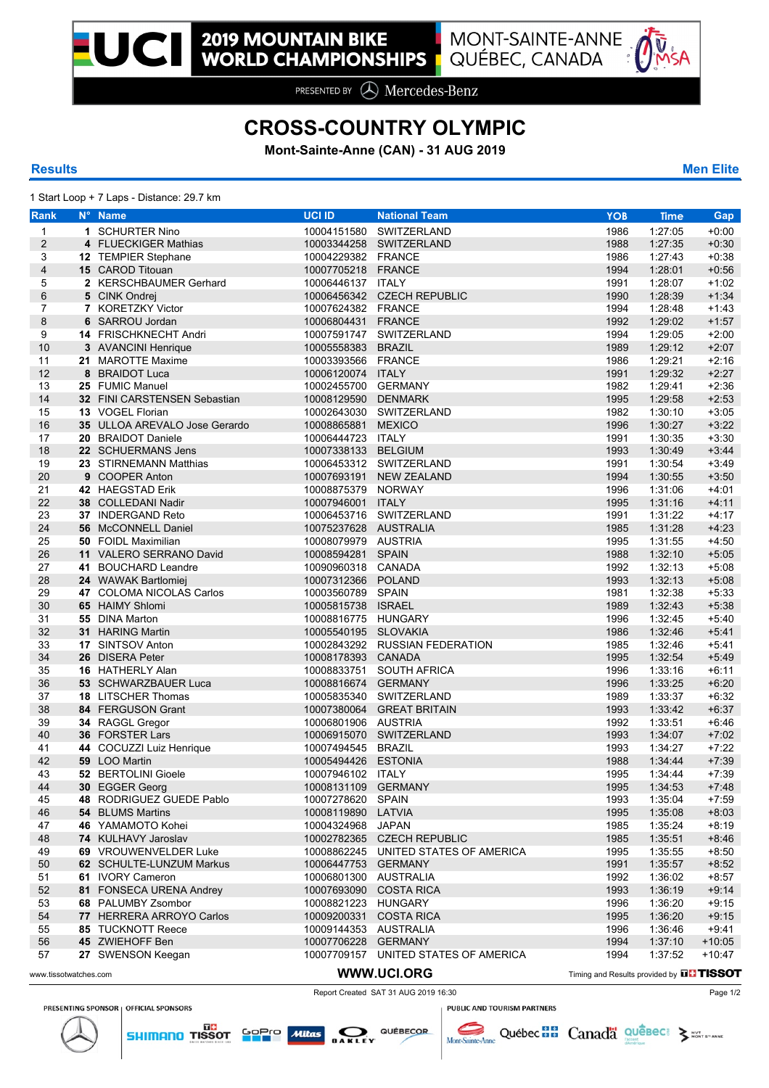

PRESENTED BY **A** Mercedes-Benz

# **CROSS-COUNTRY OLYMPIC**

**Mont-Sainte-Anne (CAN) - 31 AUG 2019**

## **Results Men Elite**

1 Start Loop + 7 Laps - Distance: 29.7 km

| <b>Rank</b>           | N° Name                       | <b>UCI ID</b>         | <b>National Team</b>                            | <b>YOB</b> | <b>Time</b> | <b>Gap</b> |
|-----------------------|-------------------------------|-----------------------|-------------------------------------------------|------------|-------------|------------|
| $\mathbf{1}$          | 1 SCHURTER Nino               |                       | 10004151580 SWITZERLAND                         | 1986       | 1:27:05     | $+0:00$    |
| $\overline{c}$        | 4 FLUECKIGER Mathias          |                       | 10003344258 SWITZERLAND                         | 1988       | 1:27:35     | $+0:30$    |
| 3                     | 12 TEMPIER Stephane           | 10004229382 FRANCE    |                                                 | 1986       | 1:27:43     | $+0:38$    |
| 4                     | <b>15 CAROD Titouan</b>       | 10007705218 FRANCE    |                                                 | 1994       | 1:28:01     | $+0:56$    |
| 5                     | 2 KERSCHBAUMER Gerhard        | 10006446137 ITALY     |                                                 | 1991       | 1:28:07     | $+1:02$    |
| 6                     | 5 CINK Ondrei                 |                       | 10006456342 CZECH REPUBLIC                      | 1990       | 1:28:39     | $+1:34$    |
| $\overline{7}$        | 7 KORETZKY Victor             | 10007624382 FRANCE    |                                                 | 1994       | 1:28:48     | $+1.43$    |
| 8                     | 6 SARROU Jordan               | 10006804431 FRANCE    |                                                 | 1992       | 1:29:02     | $+1:57$    |
| 9                     | 14 FRISCHKNECHT Andri         |                       | 10007591747 SWITZERLAND                         | 1994       | 1:29:05     | $+2:00$    |
| 10                    | 3 AVANCINI Henrique           | 10005558383 BRAZIL    |                                                 | 1989       | 1:29:12     | $+2:07$    |
| 11                    | 21 MAROTTE Maxime             | 10003393566 FRANCE    |                                                 | 1986       | 1:29:21     | $+2:16$    |
| 12                    | 8 BRAIDOT Luca                | 10006120074 ITALY     |                                                 | 1991       | 1:29:32     | $+2:27$    |
| 13                    | 25 FUMIC Manuel               | 10002455700 GERMANY   |                                                 | 1982       | 1:29:41     | $+2:36$    |
| 14                    | 32 FINI CARSTENSEN Sebastian  | 10008129590 DENMARK   |                                                 | 1995       | 1:29:58     | $+2:53$    |
| 15                    | 13 VOGEL Florian              |                       | 10002643030 SWITZERLAND                         | 1982       | 1:30:10     | $+3:05$    |
| 16                    | 35 ULLOA AREVALO Jose Gerardo | 10008865881 MEXICO    |                                                 | 1996       | 1:30:27     | $+3:22$    |
| 17                    | 20 BRAIDOT Daniele            | 10006444723 ITALY     |                                                 | 1991       | 1:30:35     | $+3:30$    |
| 18                    | 22 SCHUERMANS Jens            | 10007338133 BELGIUM   |                                                 | 1993       | 1:30:49     | $+3.44$    |
| 19                    | 23 STIRNEMANN Matthias        |                       | 10006453312 SWITZERLAND                         | 1991       | 1:30:54     | $+3.49$    |
| 20                    | 9 COOPER Anton                |                       | 10007693191 NEW ZEALAND                         | 1994       | 1:30:55     | $+3:50$    |
| 21                    | 42 HAEGSTAD Erik              | 10008875379 NORWAY    |                                                 | 1996       | 1:31:06     | $+4.01$    |
| 22                    | 38 COLLEDANI Nadir            | 10007946001 ITALY     |                                                 | 1995       | 1:31:16     | $+4.11$    |
| 23                    | 37 INDERGAND Reto             |                       | 10006453716 SWITZERLAND                         | 1991       | 1:31:22     | $+4:17$    |
| 24                    | 56 McCONNELL Daniel           | 10075237628 AUSTRALIA |                                                 | 1985       | 1:31:28     | $+4:23$    |
| 25                    | 50 FOIDL Maximilian           | 10008079979 AUSTRIA   |                                                 | 1995       | 1:31:55     | $+4:50$    |
| 26                    | 11 VALERO SERRANO David       | 10008594281 SPAIN     |                                                 | 1988       | 1:32:10     | $+5:05$    |
| 27                    | 41 BOUCHARD Leandre           | 10090960318 CANADA    |                                                 | 1992       | 1:32:13     | $+5:08$    |
| 28                    | 24 WAWAK Bartlomiej           | 10007312366 POLAND    |                                                 | 1993       | 1:32:13     | $+5.08$    |
| 29                    | 47 COLOMA NICOLAS Carlos      | 10003560789 SPAIN     |                                                 | 1981       | 1:32:38     | $+5:33$    |
| 30                    | 65 HAIMY Shlomi               | 10005815738 ISRAEL    |                                                 | 1989       | 1:32:43     | $+5:38$    |
| 31                    | 55 DINA Marton                | 10008816775 HUNGARY   |                                                 | 1996       | 1:32:45     | $+5.40$    |
| 32                    | 31 HARING Martin              | 10005540195 SLOVAKIA  |                                                 | 1986       | 1:32:46     | $+5.41$    |
| 33                    | 17 SINTSOV Anton              |                       | 10002843292 RUSSIAN FEDERATION                  | 1985       | 1:32:46     | $+5.41$    |
| 34                    | 26 DISERA Peter               | 10008178393 CANADA    |                                                 | 1995       | 1:32:54     | $+5.49$    |
| 35                    | 16 HATHERLY Alan              |                       | 10008833751 SOUTH AFRICA                        | 1996       | 1:33:16     | $+6:11$    |
| 36                    | 53 SCHWARZBAUER Luca          | 10008816674 GERMANY   |                                                 | 1996       | 1:33:25     | $+6:20$    |
| 37                    | <b>18 LITSCHER Thomas</b>     |                       | 10005835340 SWITZERLAND                         | 1989       | 1:33:37     | $+6:32$    |
| 38                    | 84 FERGUSON Grant             |                       | 10007380064 GREAT BRITAIN                       | 1993       | 1:33:42     | $+6:37$    |
| 39                    | 34 RAGGL Gregor               | 10006801906 AUSTRIA   |                                                 | 1992       | 1:33:51     | $+6:46$    |
| 40                    | 36 FORSTER Lars               |                       | 10006915070 SWITZERLAND                         | 1993       | 1:34:07     | $+7:02$    |
| 41                    | 44 COCUZZI Luiz Henrique      | 10007494545 BRAZIL    |                                                 | 1993       | 1:34:27     | $+7:22$    |
| 42                    | 59 LOO Martin                 | 10005494426 ESTONIA   |                                                 | 1988       | 1:34:44     | $+7:39$    |
| 43                    | 52 BERTOLINI Gioele           | 10007946102 ITALY     |                                                 | 1995       | 1:34:44     | $+7:39$    |
| 44                    | 30 EGGER Georg                | 10008131109 GERMANY   |                                                 | 1995       | 1:34:53     | $+7.48$    |
| 45                    | 48 RODRIGUEZ GUEDE Pablo      | 10007278620 SPAIN     |                                                 | 1993       | 1:35:04     | $+7:59$    |
| 46                    | <b>54 BLUMS Martins</b>       | 10008119890 LATVIA    |                                                 | 1995       | 1:35:08     | $+8:03$    |
| 47                    | 46 YAMAMOTO Kohei             | 10004324968 JAPAN     |                                                 | 1985       | 1:35:24     | $+8:19$    |
| 48                    | 74 KULHAVY Jaroslav           |                       | 10002782365 CZECH REPUBLIC                      | 1985       | 1:35:51     | $+8:46$    |
| 49                    | 69 VROUWENVELDER Luke         |                       | 10008862245 UNITED STATES OF AMERICA            | 1995       | 1:35:55     | $+8:50$    |
| 50                    | 62 SCHULTE-LUNZUM Markus      | 10006447753 GERMANY   |                                                 | 1991       | 1:35:57     | $+8:52$    |
| 51                    | 61 IVORY Cameron              | 10006801300 AUSTRALIA |                                                 | 1992       | 1:36:02     | $+8:57$    |
| 52                    | 81 FONSECA URENA Andrey       |                       | 10007693090 COSTA RICA                          | 1993       | 1:36:19     | $+9:14$    |
| 53                    | 68 PALUMBY Zsombor            | 10008821223 HUNGARY   |                                                 | 1996       | 1:36:20     | $+9:15$    |
| 54                    | 77 HERRERA ARROYO Carlos      |                       | 10009200331 COSTA RICA                          | 1995       | 1:36:20     | $+9:15$    |
| 55                    | <b>85 TUCKNOTT Reece</b>      | 10009144353 AUSTRALIA |                                                 | 1996       | 1:36:46     | $+9.41$    |
| 56                    | 45 ZWIEHOFF Ben               | 10007706228 GERMANY   |                                                 | 1994       | 1:37:10     | $+10:05$   |
| 57                    | 27 SWENSON Keegan             |                       | 10007709157 UNITED STATES OF AMERICA            | 1994       | 1:37:52     | $+10:47$   |
|                       |                               |                       | WWW.UCI.ORG                                     |            |             |            |
| www.tissotwatches.com |                               |                       | Timing and Results provided by <b>DD TISSOT</b> |            |             |            |

Report Created SAT 31 AUG 2019 16:30 Page 1/2

PRESENTING SPONSOR | OFFICIAL SPONSORS

**PUBLIC AND TOURISM PARTNERS** 

 $\sim$   $\sim$